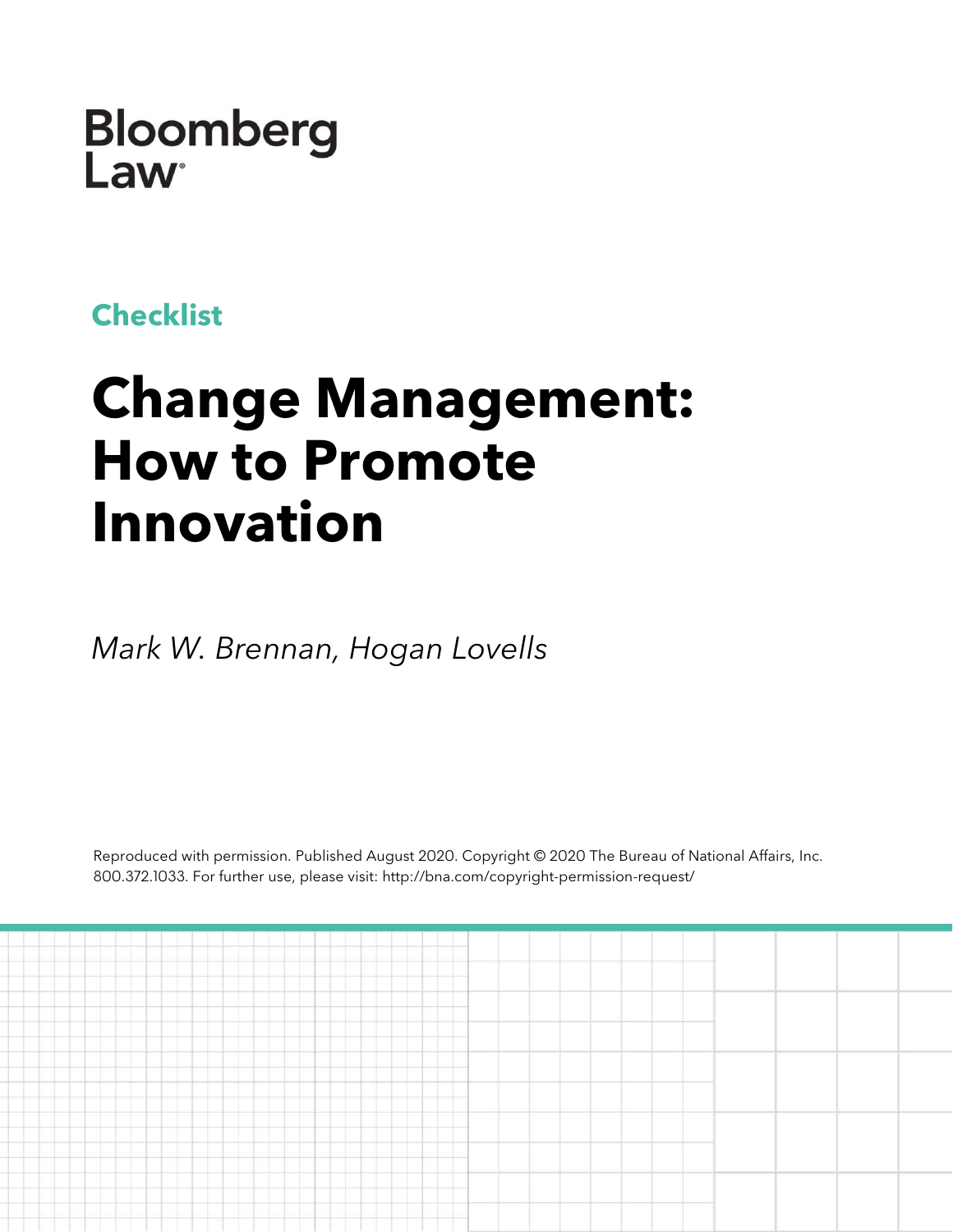**Bloomberg** Law

## **Checklist**

# **Change Management: How to Promote Innovation**

*Mark W. Brennan, Hogan Lovells*

Reproduced with permission. Published August 2020. Copyright © 2020 The Bureau of National Affairs, Inc. 800.372.1033. For further use, please visit: http://bna.com/copyright-permission-request/

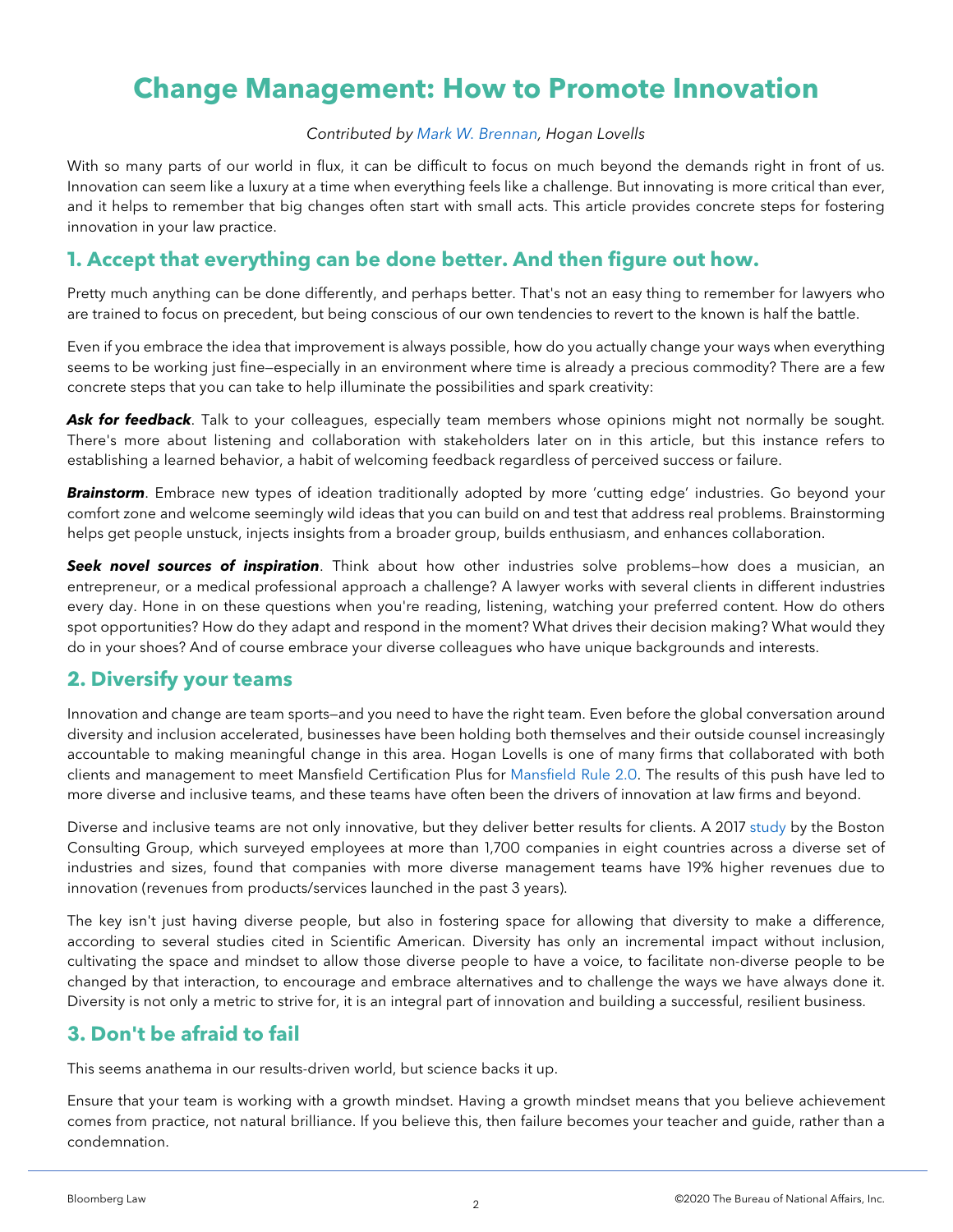## **Change Management: How to Promote Innovation**

#### *Contributed by [Mark W. Brennan,](https://www.hoganlovells.com/en/mark-brennan) Hogan Lovells*

With so many parts of our world in flux, it can be difficult to focus on much beyond the demands right in front of us. Innovation can seem like a luxury at a time when everything feels like a challenge. But innovating is more critical than ever, and it helps to remember that big changes often start with small acts. This article provides concrete steps for fostering innovation in your law practice.

#### **1. Accept that everything can be done better. And then figure out how.**

Pretty much anything can be done differently, and perhaps better. That's not an easy thing to remember for lawyers who are trained to focus on precedent, but being conscious of our own tendencies to revert to the known is half the battle.

Even if you embrace the idea that improvement is always possible, how do you actually change your ways when everything seems to be working just fine—especially in an environment where time is already a precious commodity? There are a few concrete steps that you can take to help illuminate the possibilities and spark creativity:

Ask for feedback. Talk to your colleagues, especially team members whose opinions might not normally be sought. There's more about listening and collaboration with stakeholders later on in this article, but this instance refers to establishing a learned behavior, a habit of welcoming feedback regardless of perceived success or failure.

*Brainstorm*. Embrace new types of ideation traditionally adopted by more 'cutting edge' industries. Go beyond your comfort zone and welcome seemingly wild ideas that you can build on and test that address real problems. Brainstorming helps get people unstuck, injects insights from a broader group, builds enthusiasm, and enhances collaboration.

*Seek novel sources of inspiration*. Think about how other industries solve problems—how does a musician, an entrepreneur, or a medical professional approach a challenge? A lawyer works with several clients in different industries every day. Hone in on these questions when you're reading, listening, watching your preferred content. How do others spot opportunities? How do they adapt and respond in the moment? What drives their decision making? What would they do in your shoes? And of course embrace your diverse colleagues who have unique backgrounds and interests.

#### **2. Diversify your teams**

Innovation and change are team sports—and you need to have the right team. Even before the global conversation around diversity and inclusion accelerated, businesses have been holding both themselves and their outside counsel increasingly accountable to making meaningful change in this area. Hogan Lovells is one of many firms that collaborated with both clients and management to meet Mansfield Certification Plus for [Mansfield Rule 2.0.](https://www.diversitylab.com/pilot-projects/mansfield-rule-2-0/) The results of this push have led to more diverse and inclusive teams, and these teams have often been the drivers of innovation at law firms and beyond.

Diverse and inclusive teams are not only innovative, but they deliver better results for clients. A 2017 [study](https://www.bcg.com/publications/2018/how-diverse-leadership-teams-boost-innovation) by the Boston Consulting Group, which surveyed employees at more than 1,700 companies in eight countries across a diverse set of industries and sizes, found that companies with more diverse management teams have 19% higher revenues due to innovation (revenues from products/services launched in the past 3 years).

The key isn't just having diverse people, but also in fostering space for allowing that diversity to make a difference, according to several studies cited in Scientific American. Diversity has only an incremental impact without inclusion, cultivating the space and mindset to allow those diverse people to have a voice, to facilitate non-diverse people to be changed by that interaction, to encourage and embrace alternatives and to challenge the ways we have always done it. Diversity is not only a metric to strive for, it is an integral part of innovation and building a successful, resilient business.

#### **3. Don't be afraid to fail**

This seems anathema in our results-driven world, but science backs it up.

Ensure that your team is working with a growth mindset. Having a growth mindset means that you believe achievement comes from practice, not natural brilliance. If you believe this, then failure becomes your teacher and guide, rather than a condemnation.